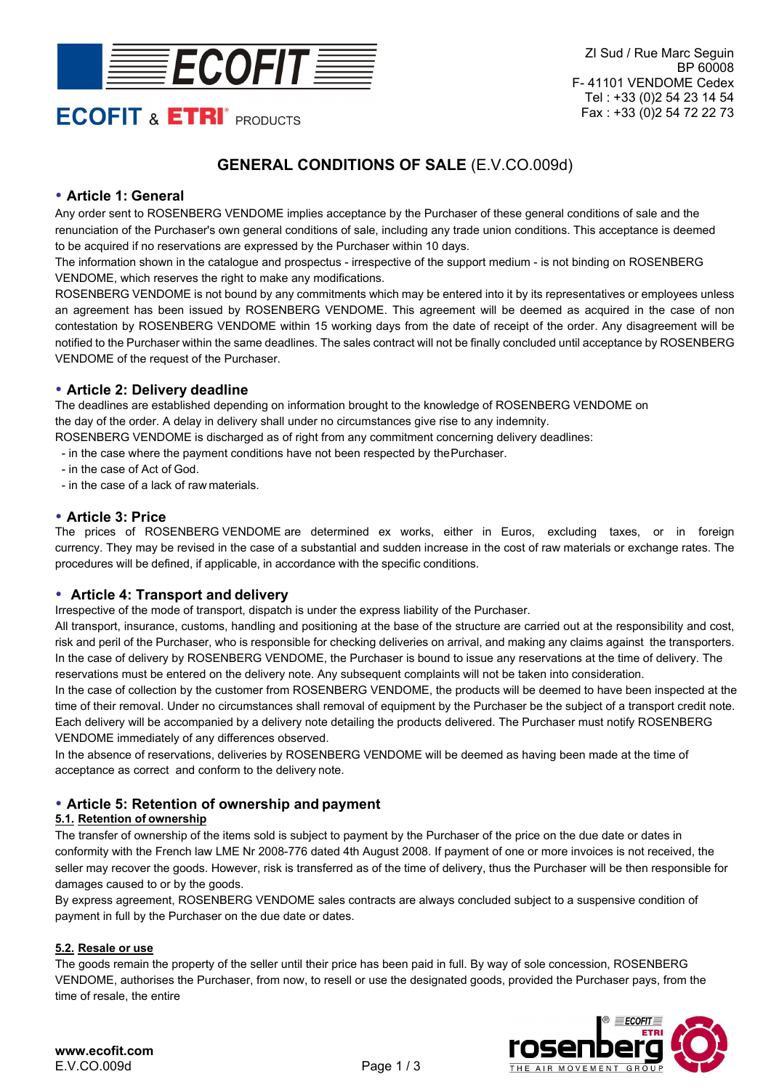

# **ECOFIT & ETRI<sup>®</sup> PRODUCTS**

# **GENERAL CONDITIONS OF SALE** (E.V.CO.009d)

# **Article 1: General**

Any order sent to ROSENBERG VENDOME implies acceptance by the Purchaser of these general conditions of sale and the renunciation of the Purchaser's own general conditions of sale, including any trade union conditions. This acceptance is deemed to be acquired if no reservations are expressed by the Purchaser within 10 days.

The information shown in the catalogue and prospectus - irrespective of the support medium - is not binding on ROSENBERG VENDOME, which reserves the right to make any modifications.

ROSENBERG VENDOME is not bound by any commitments which may be entered into it by its representatives or employees unless an agreement has been issued by ROSENBERG VENDOME. This agreement will be deemed as acquired in the case of non contestation by ROSENBERG VENDOME within 15 working days from the date of receipt of the order. Any disagreement will be notified to the Purchaser within the same deadlines. The sales contract will not be finally concluded until acceptance by ROSENBERG VENDOME of the request of the Purchaser.

# **Article 2: Delivery deadline**

The deadlines are established depending on information brought to the knowledge of ROSENBERG VENDOME on the day of the order. A delay in delivery shall under no circumstances give rise to any indemnity.

ROSENBERG VENDOME is discharged as of right from any commitment concerning delivery deadlines:

- in the case where the payment conditions have not been respected by the Purchaser.
- in the case of Act of God.
- in the case of a lack of raw materials.

# **Article 3: Price**

The prices of ROSENBERG VENDOME are determined ex works, either in Euros, excluding taxes, or in foreign currency. They may be revised in the case of a substantial and sudden increase in the cost of raw materials or exchange rates. The procedures will be defined, if applicable, in accordance with the specific conditions.

# **Article 4: Transport and delivery**

Irrespective of the mode of transport, dispatch is under the express liability of the Purchaser.

All transport, insurance, customs, handling and positioning at the base of the structure are carried out at the responsibility and cost, risk and peril of the Purchaser, who is responsible for checking deliveries on arrival, and making any claims against the transporters. In the case of delivery by ROSENBERG VENDOME, the Purchaser is bound to issue any reservations at the time of delivery. The reservations must be entered on the delivery note. Any subsequent complaints will not be taken into consideration.

In the case of collection by the customer from ROSENBERG VENDOME, the products will be deemed to have been inspected at the time of their removal. Under no circumstances shall removal of equipment by the Purchaser be the subject of a transport credit note. Each delivery will be accompanied by a delivery note detailing the products delivered. The Purchaser must notify ROSENBERG VENDOME immediately of any differences observed.

In the absence of reservations, deliveries by ROSENBERG VENDOME will be deemed as having been made at the time of acceptance as correct and conform to the delivery note.

# **Article 5: Retention of ownership and payment**

# **5.1. Retention of ownership**

The transfer of ownership of the items sold is subject to payment by the Purchaser of the price on the due date or dates in conformity with the French law LME Nr 2008-776 dated 4th August 2008. If payment of one or more invoices is not received, the seller may recover the goods. However, risk is transferred as of the time of delivery, thus the Purchaser will be then responsible for damages caused to or by the goods.

By express agreement, ROSENBERG VENDOME sales contracts are always concluded subject to a suspensive condition of payment in full by the Purchaser on the due date or dates.

# **5.2. Resale or use**

The goods remain the property of the seller until their price has been paid in full. By way of sole concession, ROSENBERG VENDOME, authorises the Purchaser, from now, to resell or use the designated goods, provided the Purchaser pays, from the time of resale, the entire

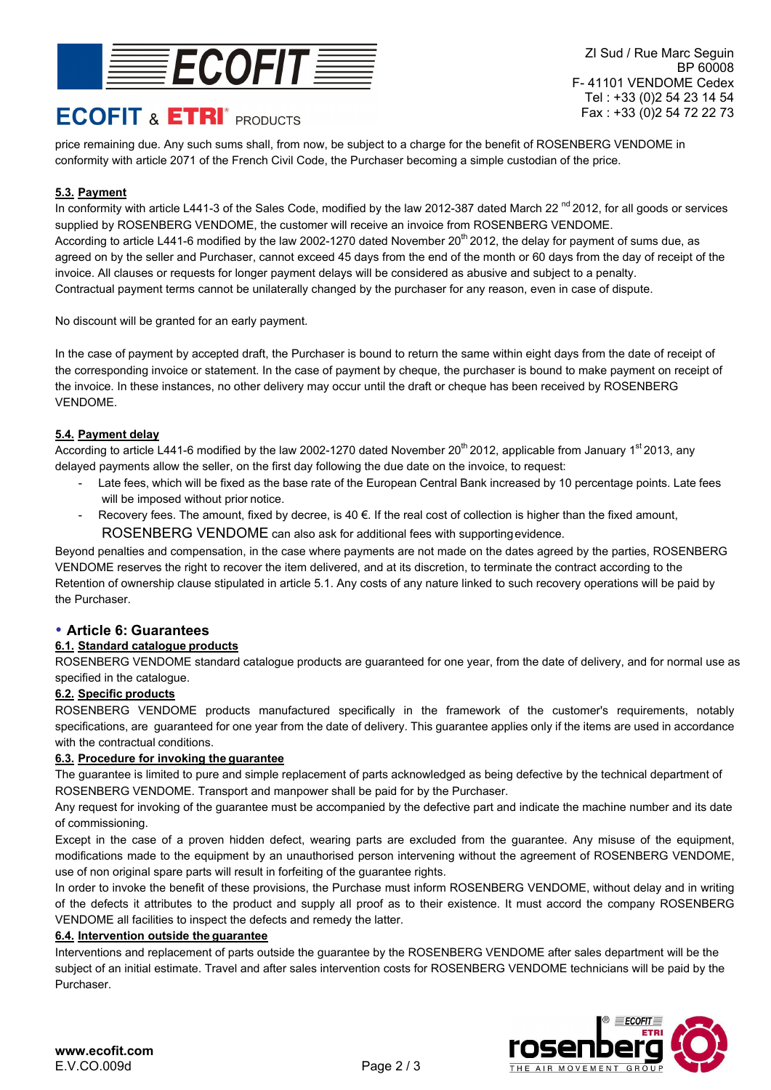

# **ECOFIT & ETRI<sup>®</sup> PRODUCTS**

ZI Sud / Rue Marc Seguin BP 60008 F- 41101 VENDOME Cedex Tel : +33 (0)2 54 23 14 54 Fax : +33 (0)2 54 72 22 73

price remaining due. Any such sums shall, from now, be subject to a charge for the benefit of ROSENBERG VENDOME in conformity with article 2071 of the French Civil Code, the Purchaser becoming a simple custodian of the price.

# **5.3. Payment**

In conformity with article L441-3 of the Sales Code, modified by the law 2012-387 dated March 22<sup>nd</sup> 2012, for all goods or services supplied by ROSENBERG VENDOME, the customer will receive an invoice from ROSENBERG VENDOME. According to article L441-6 modified by the law 2002-1270 dated November 20<sup>th</sup> 2012, the delay for payment of sums due, as agreed on by the seller and Purchaser, cannot exceed 45 days from the end of the month or 60 days from the day of receipt of the invoice. All clauses or requests for longer payment delays will be considered as abusive and subject to a penalty. Contractual payment terms cannot be unilaterally changed by the purchaser for any reason, even in case of dispute.

No discount will be granted for an early payment.

In the case of payment by accepted draft, the Purchaser is bound to return the same within eight days from the date of receipt of the corresponding invoice or statement. In the case of payment by cheque, the purchaser is bound to make payment on receipt of the invoice. In these instances, no other delivery may occur until the draft or cheque has been received by ROSENBERG VENDOME.

#### **5.4. Payment delay**

According to article L441-6 modified by the law 2002-1270 dated November 20<sup>th</sup> 2012, applicable from January 1<sup>st</sup> 2013, any delayed payments allow the seller, on the first day following the due date on the invoice, to request:

- Late fees, which will be fixed as the base rate of the European Central Bank increased by 10 percentage points. Late fees will be imposed without prior notice.
- Recovery fees. The amount, fixed by decree, is  $40 \in$ . If the real cost of collection is higher than the fixed amount, ROSENBERG VENDOME can also ask for additional fees with supporting evidence.

Beyond penalties and compensation, in the case where payments are not made on the dates agreed by the parties, ROSENBERG VENDOME reserves the right to recover the item delivered, and at its discretion, to terminate the contract according to the Retention of ownership clause stipulated in article 5.1. Any costs of any nature linked to such recovery operations will be paid by the Purchaser.

# **Article 6: Guarantees**

# **6.1. Standard catalogue products**

ROSENBERG VENDOME standard catalogue products are guaranteed for one year, from the date of delivery, and for normal use as specified in the catalogue.

# **6.2. Specific products**

ROSENBERG VENDOME products manufactured specifically in the framework of the customer's requirements, notably specifications, are guaranteed for one year from the date of delivery. This guarantee applies only if the items are used in accordance with the contractual conditions.

#### **6.3. Procedure for invoking the guarantee**

The guarantee is limited to pure and simple replacement of parts acknowledged as being defective by the technical department of ROSENBERG VENDOME. Transport and manpower shall be paid for by the Purchaser.

Any request for invoking of the guarantee must be accompanied by the defective part and indicate the machine number and its date of commissioning.

Except in the case of a proven hidden defect, wearing parts are excluded from the guarantee. Any misuse of the equipment, modifications made to the equipment by an unauthorised person intervening without the agreement of ROSENBERG VENDOME, use of non original spare parts will result in forfeiting of the guarantee rights.

In order to invoke the benefit of these provisions, the Purchase must inform ROSENBERG VENDOME, without delay and in writing of the defects it attributes to the product and supply all proof as to their existence. It must accord the company ROSENBERG VENDOME all facilities to inspect the defects and remedy the latter.

#### **6.4. Intervention outside the guarantee**

Interventions and replacement of parts outside the guarantee by the ROSENBERG VENDOME after sales department will be the subject of an initial estimate. Travel and after sales intervention costs for ROSENBERG VENDOME technicians will be paid by the Purchaser.

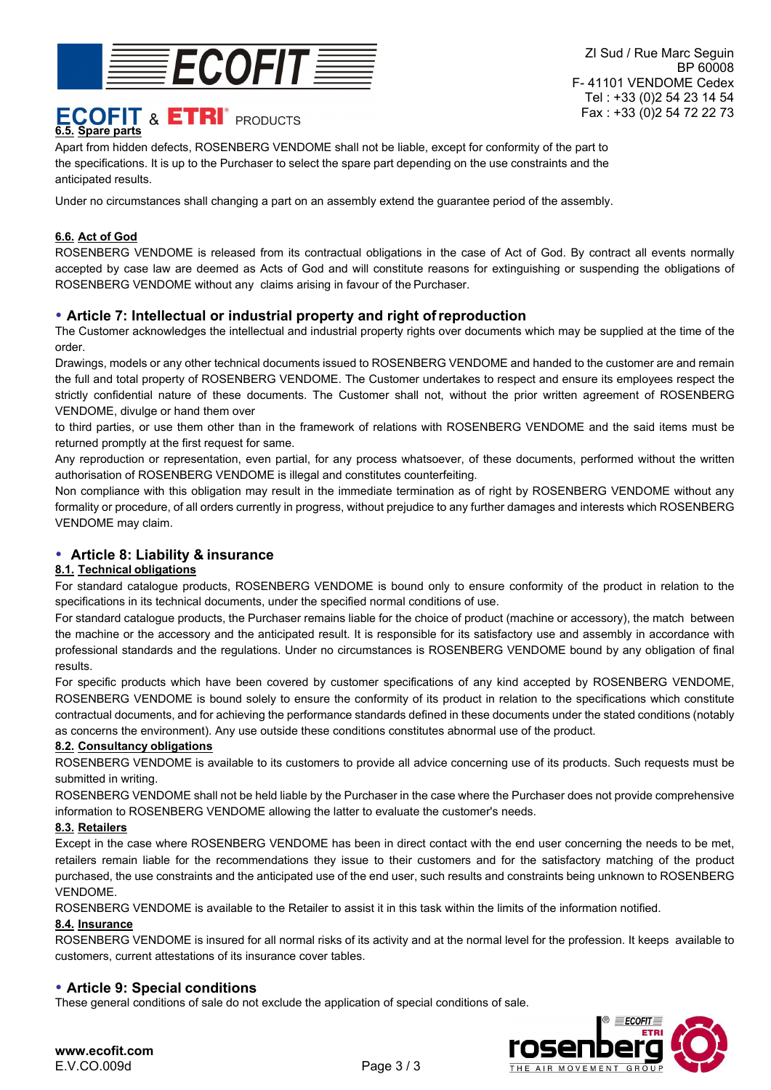

# **ECOFIT & ETRI<sup>®</sup> PRODUCTS 6.5. Spare parts**

Apart from hidden defects, ROSENBERG VENDOME shall not be liable, except for conformity of the part to the specifications. It is up to the Purchaser to select the spare part depending on the use constraints and the anticipated results.

Under no circumstances shall changing a part on an assembly extend the guarantee period of the assembly.

#### **6.6. Act of God**

ROSENBERG VENDOME is released from its contractual obligations in the case of Act of God. By contract all events normally accepted by case law are deemed as Acts of God and will constitute reasons for extinguishing or suspending the obligations of ROSENBERG VENDOME without any claims arising in favour of the Purchaser.

#### **Article 7: Intellectual or industrial property and right of reproduction**

The Customer acknowledges the intellectual and industrial property rights over documents which may be supplied at the time of the order.

Drawings, models or any other technical documents issued to ROSENBERG VENDOME and handed to the customer are and remain the full and total property of ROSENBERG VENDOME. The Customer undertakes to respect and ensure its employees respect the strictly confidential nature of these documents. The Customer shall not, without the prior written agreement of ROSENBERG VENDOME, divulge or hand them over

to third parties, or use them other than in the framework of relations with ROSENBERG VENDOME and the said items must be returned promptly at the first request for same.

Any reproduction or representation, even partial, for any process whatsoever, of these documents, performed without the written authorisation of ROSENBERG VENDOME is illegal and constitutes counterfeiting.

Non compliance with this obligation may result in the immediate termination as of right by ROSENBERG VENDOME without any formality or procedure, of all orders currently in progress, without prejudice to any further damages and interests which ROSENBERG VENDOME may claim.

# **Article 8: Liability & insurance**

#### **8.1. Technical obligations**

For standard catalogue products, ROSENBERG VENDOME is bound only to ensure conformity of the product in relation to the specifications in its technical documents, under the specified normal conditions of use.

For standard catalogue products, the Purchaser remains liable for the choice of product (machine or accessory), the match between the machine or the accessory and the anticipated result. It is responsible for its satisfactory use and assembly in accordance with professional standards and the regulations. Under no circumstances is ROSENBERG VENDOME bound by any obligation of final results.

For specific products which have been covered by customer specifications of any kind accepted by ROSENBERG VENDOME, ROSENBERG VENDOME is bound solely to ensure the conformity of its product in relation to the specifications which constitute contractual documents, and for achieving the performance standards defined in these documents under the stated conditions (notably as concerns the environment). Any use outside these conditions constitutes abnormal use of the product.

#### **8.2. Consultancy obligations**

ROSENBERG VENDOME is available to its customers to provide all advice concerning use of its products. Such requests must be submitted in writing.

ROSENBERG VENDOME shall not be held liable by the Purchaser in the case where the Purchaser does not provide comprehensive information to ROSENBERG VENDOME allowing the latter to evaluate the customer's needs.

#### **8.3. Retailers**

Except in the case where ROSENBERG VENDOME has been in direct contact with the end user concerning the needs to be met, retailers remain liable for the recommendations they issue to their customers and for the satisfactory matching of the product purchased, the use constraints and the anticipated use of the end user, such results and constraints being unknown to ROSENBERG VENDOME.

ROSENBERG VENDOME is available to the Retailer to assist it in this task within the limits of the information notified.

#### **8.4. Insurance**

ROSENBERG VENDOME is insured for all normal risks of its activity and at the normal level for the profession. It keeps available to customers, current attestations of its insurance cover tables.

# **Article 9: Special conditions**

These general conditions of sale do not exclude the application of special conditions of sale.